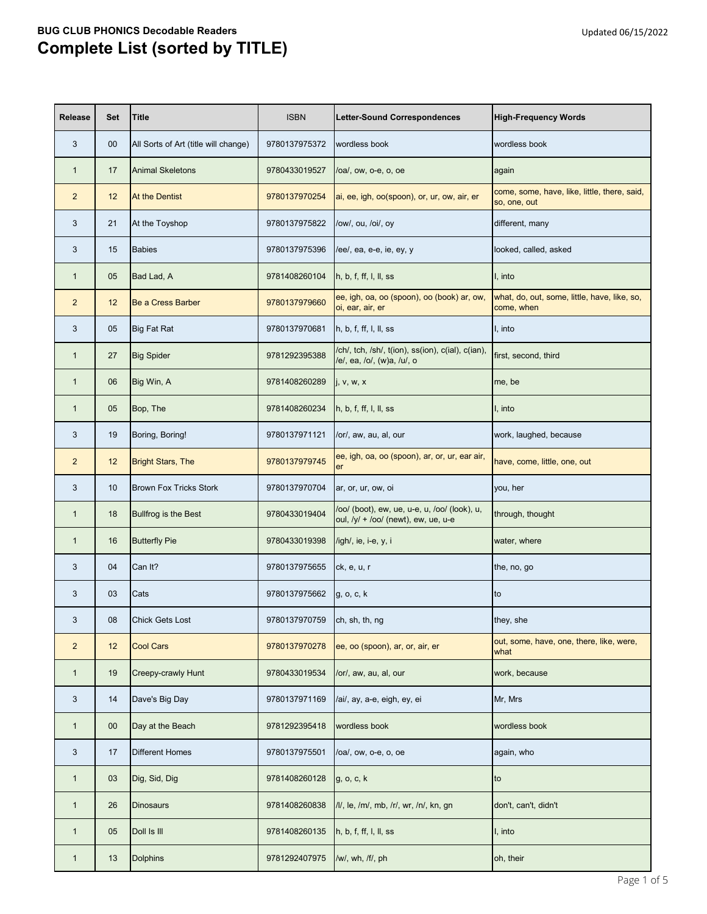| <b>Release</b> | <b>Set</b> | <b>Title</b>                         | <b>ISBN</b>   | Letter-Sound Correspondences                                                          | <b>High-Frequency Words</b>                                  |
|----------------|------------|--------------------------------------|---------------|---------------------------------------------------------------------------------------|--------------------------------------------------------------|
| 3              | $00\,$     | All Sorts of Art (title will change) | 9780137975372 | wordless book                                                                         | wordless book                                                |
| $\mathbf{1}$   | 17         | <b>Animal Skeletons</b>              | 9780433019527 | /oa/, ow, o-e, o, oe                                                                  | again                                                        |
| $\overline{2}$ | 12         | <b>At the Dentist</b>                | 9780137970254 | ai, ee, igh, oo(spoon), or, ur, ow, air, er                                           | come, some, have, like, little, there, said,<br>so, one, out |
| 3              | 21         | At the Toyshop                       | 9780137975822 | /ow/, ou, /oi/, oy                                                                    | different, many                                              |
| 3              | 15         | <b>Babies</b>                        | 9780137975396 | /ee/, ea, e-e, ie, ey, y                                                              | looked, called, asked                                        |
| $\mathbf{1}$   | 05         | Bad Lad, A                           | 9781408260104 | h, b, f, ff, l, ll, ss                                                                | I, into                                                      |
| 2              | 12         | <b>Be a Cress Barber</b>             | 9780137979660 | ee, igh, oa, oo (spoon), oo (book) ar, ow,<br>oi, ear, air, er                        | what, do, out, some, little, have, like, so,<br>come, when   |
| 3              | 05         | <b>Big Fat Rat</b>                   | 9780137970681 | h, b, f, ff, l, ll, ss                                                                | I, into                                                      |
| $\mathbf{1}$   | 27         | <b>Big Spider</b>                    | 9781292395388 | /ch/, tch, /sh/, t(ion), ss(ion), c(ial), c(ian),<br>/e/, ea, /o/, (w)a, /u/, o       | first, second, third                                         |
| $\mathbf{1}$   | 06         | Big Win, A                           | 9781408260289 | j, v, w, x                                                                            | me, be                                                       |
| $\mathbf{1}$   | 05         | Bop, The                             | 9781408260234 | h, b, f, ff, l, ll, ss                                                                | I, into                                                      |
| 3              | 19         | Boring, Boring!                      | 9780137971121 | /or/, aw, au, al, our                                                                 | work, laughed, because                                       |
| $\overline{2}$ | 12         | <b>Bright Stars, The</b>             | 9780137979745 | ee, igh, oa, oo (spoon), ar, or, ur, ear air,<br><b>er</b>                            | have, come, little, one, out                                 |
| 3              | 10         | <b>Brown Fox Tricks Stork</b>        | 9780137970704 | ar, or, ur, ow, oi                                                                    | you, her                                                     |
| $\mathbf{1}$   | 18         | <b>Bullfrog is the Best</b>          | 9780433019404 | /oo/ (boot), ew, ue, u-e, u, /oo/ (look), u,<br>oul, $/y/ + /oo/$ (newt), ew, ue, u-e | through, thought                                             |
| $\mathbf{1}$   | 16         | <b>Butterfly Pie</b>                 | 9780433019398 | /igh/, ie, i-e, y, i                                                                  | water, where                                                 |
| 3              | 04         | Can It?                              | 9780137975655 | ck, e, u, r                                                                           | the, no, go                                                  |
| 3              | 03         | Cats                                 | 9780137975662 | g, o, c, k                                                                            | lto.                                                         |
| 3              | 08         | <b>Chick Gets Lost</b>               | 9780137970759 | ch, sh, th, ng                                                                        | they, she                                                    |
| $\overline{2}$ | 12         | <b>Cool Cars</b>                     | 9780137970278 | ee, oo (spoon), ar, or, air, er                                                       | out, some, have, one, there, like, were,<br>what             |
| $\mathbf{1}$   | 19         | <b>Creepy-crawly Hunt</b>            | 9780433019534 | /or/, aw, au, al, our                                                                 | work, because                                                |
| 3              | 14         | Dave's Big Day                       | 9780137971169 | /ai/, ay, a-e, eigh, ey, ei                                                           | Mr, Mrs                                                      |
| $\mathbf{1}$   | $00\,$     | Day at the Beach                     | 9781292395418 | wordless book                                                                         | wordless book                                                |
| 3              | 17         | <b>Different Homes</b>               | 9780137975501 | /oa/, ow, o-e, o, oe                                                                  | again, who                                                   |
| $\mathbf{1}$   | 03         | Dig, Sid, Dig                        | 9781408260128 | g, o, c, k                                                                            | to                                                           |
| $\mathbf{1}$   | 26         | <b>Dinosaurs</b>                     | 9781408260838 | /l/, le, /m/, mb, /r/, wr, /n/, kn, gn                                                | don't, can't, didn't                                         |
| $\mathbf{1}$   | 05         | Doll Is III                          | 9781408260135 | h, b, f, ff, l, ll, ss                                                                | I, into                                                      |
| $\mathbf{1}$   | 13         | Dolphins                             | 9781292407975 | /w/, wh, /f/, ph                                                                      | oh, their                                                    |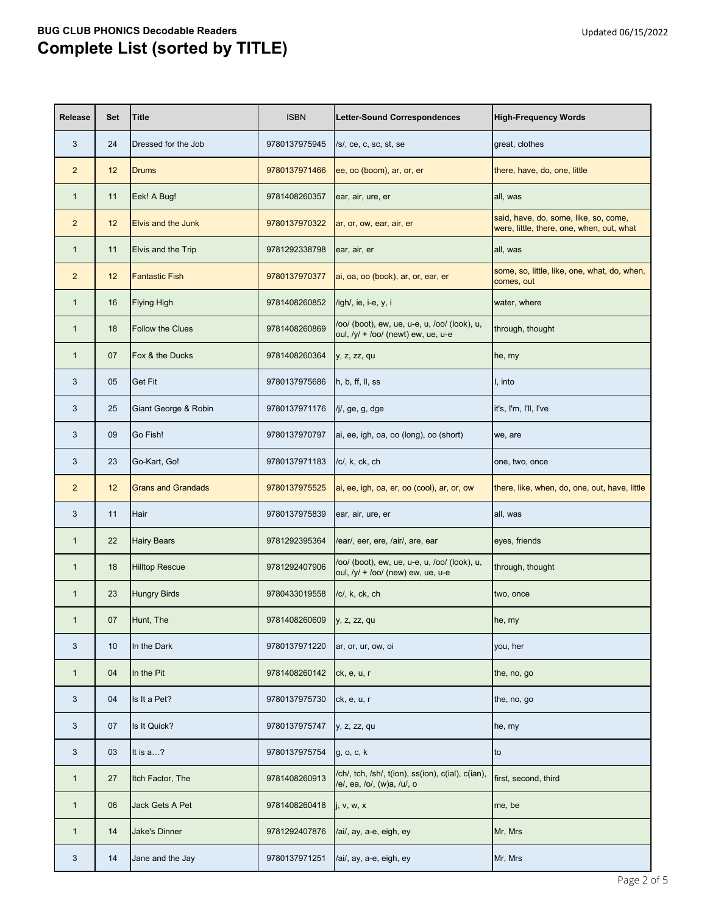| <b>Release</b> | <b>Set</b> | <b>Title</b>              | <b>ISBN</b>   | <b>Letter-Sound Correspondences</b>                                                 | <b>High-Frequency Words</b>                                                        |
|----------------|------------|---------------------------|---------------|-------------------------------------------------------------------------------------|------------------------------------------------------------------------------------|
| 3              | 24         | Dressed for the Job       | 9780137975945 | /s/, ce, c, sc, st, se                                                              | great, clothes                                                                     |
| $\overline{2}$ | 12         | <b>Drums</b>              | 9780137971466 | ee, oo (boom), ar, or, er                                                           | there, have, do, one, little                                                       |
| $\mathbf{1}$   | 11         | Eek! A Bug!               | 9781408260357 | ear, air, ure, er                                                                   | all, was                                                                           |
| $\overline{2}$ | 12         | <b>Elvis and the Junk</b> | 9780137970322 | ar, or, ow, ear, air, er                                                            | said, have, do, some, like, so, come,<br>were, little, there, one, when, out, what |
| $\mathbf{1}$   | 11         | Elvis and the Trip        | 9781292338798 | ear, air, er                                                                        | all, was                                                                           |
| $\overline{2}$ | 12         | <b>Fantastic Fish</b>     | 9780137970377 | ai, oa, oo (book), ar, or, ear, er                                                  | some, so, little, like, one, what, do, when,<br>comes, out                         |
| $\mathbf{1}$   | 16         | <b>Flying High</b>        | 9781408260852 | /igh/, ie, i-e, y, i                                                                | water, where                                                                       |
| $\mathbf{1}$   | 18         | <b>Follow the Clues</b>   | 9781408260869 | /oo/ (boot), ew, ue, u-e, u, /oo/ (look), u,<br>oul, /y/ + /oo/ (newt) ew, ue, u-e  | through, thought                                                                   |
| $\mathbf{1}$   | 07         | Fox & the Ducks           | 9781408260364 | y, z, zz, qu                                                                        | he, my                                                                             |
| 3              | 05         | <b>Get Fit</b>            | 9780137975686 | h, b, ff, ll, ss                                                                    | I, into                                                                            |
| 3              | 25         | Giant George & Robin      | 9780137971176 | /j/, ge, g, dge                                                                     | it's, I'm, I'll, I've                                                              |
| 3              | 09         | Go Fish!                  | 9780137970797 | ai, ee, igh, oa, oo (long), oo (short)                                              | we, are                                                                            |
| 3              | 23         | Go-Kart, Go!              | 9780137971183 | /c/, k, ck, ch                                                                      | one, two, once                                                                     |
| $\overline{2}$ | 12         | <b>Grans and Grandads</b> | 9780137975525 | ai, ee, igh, oa, er, oo (cool), ar, or, ow                                          | there, like, when, do, one, out, have, little                                      |
| 3              | 11 Hair    |                           | 9780137975839 | ear, air, ure, er                                                                   | all, was                                                                           |
| $\mathbf{1}$   | 22         | <b>Hairy Bears</b>        | 9781292395364 | /ear/, eer, ere, /air/, are, ear                                                    | eyes, friends                                                                      |
| $\mathbf{1}$   | 18         | <b>Hilltop Rescue</b>     | 9781292407906 | /oo/ (boot), ew, ue, u-e, u, /oo/ (look), u,<br>oul, $/y/ + /oo/$ (new) ew, ue, u-e | through, thought                                                                   |
| $\mathbf{1}$   | 23         | <b>Hungry Birds</b>       | 9780433019558 | /c/, k, ck, ch                                                                      | two, once                                                                          |
| $\mathbf{1}$   | 07         | Hunt, The                 | 9781408260609 | y, z, zz, qu                                                                        | he, my                                                                             |
| 3              | 10         | In the Dark               | 9780137971220 | ar, or, ur, ow, oi                                                                  | you, her                                                                           |
| $\mathbf{1}$   | 04         | In the Pit                | 9781408260142 | ck, e, u, r                                                                         | the, no, go                                                                        |
| 3              | 04         | Is It a Pet?              | 9780137975730 | ck, e, u, r                                                                         | the, no, go                                                                        |
| 3              | 07         | Is It Quick?              | 9780137975747 | y, z, zz, qu                                                                        | he, my                                                                             |
| 3              | 03         | It is a?                  | 9780137975754 | g, o, c, k                                                                          | to                                                                                 |
| $\mathbf{1}$   | 27         | Itch Factor, The          | 9781408260913 | /ch/, tch, /sh/, t(ion), ss(ion), c(ial), c(ian),<br>/e/, ea, /o/, (w)a, /u/, o     | first, second, third                                                               |
| $\mathbf{1}$   | 06         | Jack Gets A Pet           | 9781408260418 | j, v, w, x                                                                          | me, be                                                                             |
| $\mathbf{1}$   | 14         | <b>Jake's Dinner</b>      | 9781292407876 | /ai/, ay, a-e, eigh, ey                                                             | Mr, Mrs                                                                            |
| 3              | 14         | Jane and the Jay          | 9780137971251 | /ai/, ay, a-e, eigh, ey                                                             | Mr, Mrs                                                                            |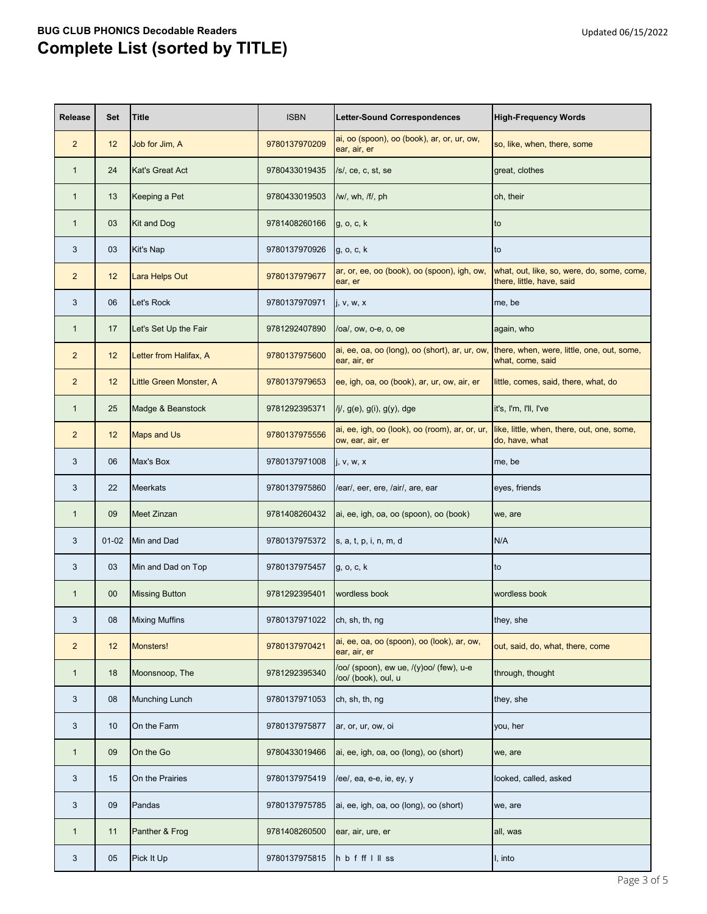| <b>Release</b> | <b>Set</b> | <b>Title</b>            | <b>ISBN</b>   | <b>Letter-Sound Correspondences</b>                                | <b>High-Frequency Words</b>                                             |
|----------------|------------|-------------------------|---------------|--------------------------------------------------------------------|-------------------------------------------------------------------------|
| $\overline{2}$ | 12         | Job for Jim, A          | 9780137970209 | ai, oo (spoon), oo (book), ar, or, ur, ow,<br>ear, air, er         | so, like, when, there, some                                             |
| $\mathbf 1$    | 24         | <b>Kat's Great Act</b>  | 9780433019435 | /s/, ce, c, st, se                                                 | great, clothes                                                          |
| $\mathbf 1$    | 13         | Keeping a Pet           | 9780433019503 | /w/, wh, /f/, ph                                                   | oh, their                                                               |
| 1              | 03         | <b>Kit and Dog</b>      | 9781408260166 | g, o, c, k                                                         | to                                                                      |
| 3              | 03         | Kit's Nap               | 9780137970926 | g, o, c, k                                                         | to                                                                      |
| $\overline{2}$ | 12         | Lara Helps Out          | 9780137979677 | ar, or, ee, oo (book), oo (spoon), igh, ow,<br>ear, er             | what, out, like, so, were, do, some, come,<br>there, little, have, said |
| 3              | 06         | Let's Rock              | 9780137970971 | j, v, w, x                                                         | me, be                                                                  |
| $\mathbf 1$    | 17         | Let's Set Up the Fair   | 9781292407890 | /oa/, ow, o-e, o, oe                                               | again, who                                                              |
| $\overline{2}$ | 12         | Letter from Halifax, A  | 9780137975600 | ai, ee, oa, oo (long), oo (short), ar, ur, ow,<br>ear, air, er     | there, when, were, little, one, out, some,<br>what, come, said          |
| $\overline{2}$ | 12         | Little Green Monster, A | 9780137979653 | ee, igh, oa, oo (book), ar, ur, ow, air, er                        | little, comes, said, there, what, do                                    |
| 1              | 25         | Madge & Beanstock       | 9781292395371 | $/j/$ , $g(e)$ , $g(i)$ , $g(y)$ , dge                             | it's, I'm, I'll, I've                                                   |
| $\overline{2}$ | 12         | <b>Maps and Us</b>      | 9780137975556 | ai, ee, igh, oo (look), oo (room), ar, or, ur,<br>ow, ear, air, er | like, little, when, there, out, one, some,<br>do, have, what            |
| 3              | 06         | Max's Box               | 9780137971008 | j, v, w, x                                                         | me, be                                                                  |
| 3              | 22         | <b>Meerkats</b>         | 9780137975860 | /ear/, eer, ere, /air/, are, ear                                   | eyes, friends                                                           |
| $\mathbf{1}$   | 09         | Meet Zinzan             |               | 9781408260432 ai, ee, igh, oa, oo (spoon), oo (book)               | we, are                                                                 |
| 3              | $01 - 02$  | Min and Dad             | 9780137975372 | s, a, t, p, i, n, m, d                                             | N/A                                                                     |
| 3              | 03         | Min and Dad on Top      | 9780137975457 | g, o, c, k                                                         | to                                                                      |
| $\mathbf{1}$   | $00\,$     | <b>Missing Button</b>   | 9781292395401 | wordless book                                                      | wordless book                                                           |
| 3              | 08         | <b>Mixing Muffins</b>   | 9780137971022 | ch, sh, th, ng                                                     | they, she                                                               |
| $\overline{2}$ | 12         | Monsters!               | 9780137970421 | ai, ee, oa, oo (spoon), oo (look), ar, ow,<br>ear, air, er         | out, said, do, what, there, come                                        |
| $\mathbf{1}$   | 18         | Moonsnoop, The          | 9781292395340 | /oo/ (spoon), ew ue, /(y)oo/ (few), u-e<br>/oo/ (book), oul, u     | through, thought                                                        |
| 3              | 08         | <b>Munching Lunch</b>   | 9780137971053 | ch, sh, th, ng                                                     | they, she                                                               |
| 3              | 10         | On the Farm             | 9780137975877 | ar, or, ur, ow, oi                                                 | you, her                                                                |
| 1              | 09         | On the Go               | 9780433019466 | ai, ee, igh, oa, oo (long), oo (short)                             | we, are                                                                 |
| 3              | 15         | On the Prairies         | 9780137975419 | /ee/, ea, e-e, ie, ey, y                                           | looked, called, asked                                                   |
| 3              | 09         | Pandas                  | 9780137975785 | ai, ee, igh, oa, oo (long), oo (short)                             | we, are                                                                 |
| $\mathbf{1}$   | 11         | Panther & Frog          | 9781408260500 | ear, air, ure, er                                                  | all, was                                                                |
| 3              | 05         | Pick It Up              | 9780137975815 | hbfffllss                                                          | I, into                                                                 |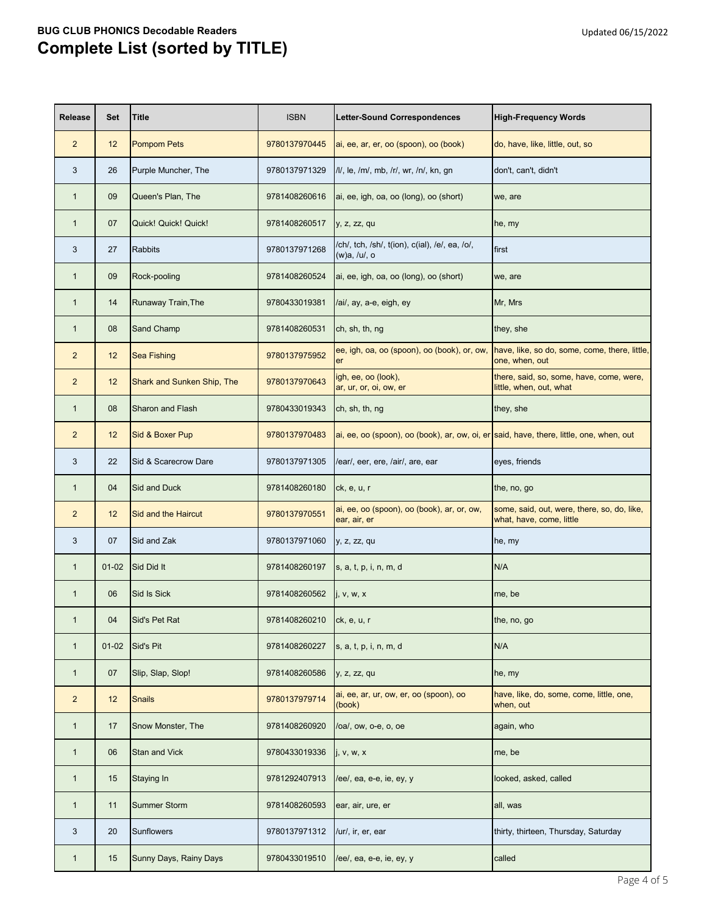| <b>Release</b> | <b>Set</b>      | <b>Title</b>               | <b>ISBN</b>   | Letter-Sound Correspondences                                                            | <b>High-Frequency Words</b>                                             |
|----------------|-----------------|----------------------------|---------------|-----------------------------------------------------------------------------------------|-------------------------------------------------------------------------|
| $\overline{2}$ | 12              | <b>Pompom Pets</b>         | 9780137970445 | ai, ee, ar, er, oo (spoon), oo (book)                                                   | do, have, like, little, out, so                                         |
| 3              | 26              | Purple Muncher, The        | 9780137971329 | /l/, le, /m/, mb, /r/, wr, /n/, kn, gn                                                  | don't, can't, didn't                                                    |
| $\mathbf{1}$   | 09              | Queen's Plan, The          | 9781408260616 | ai, ee, igh, oa, oo (long), oo (short)                                                  | we, are                                                                 |
| $\mathbf{1}$   | 07              | Quick! Quick! Quick!       | 9781408260517 | y, z, zz, qu                                                                            | he, my                                                                  |
| 3              | 27              | <b>Rabbits</b>             | 9780137971268 | /ch/, tch, /sh/, t(ion), c(ial), /e/, ea, /o/,<br>(w)a, /u/, o                          | first                                                                   |
| $\mathbf{1}$   | 09              | Rock-pooling               | 9781408260524 | ai, ee, igh, oa, oo (long), oo (short)                                                  | we, are                                                                 |
| $\mathbf{1}$   | 14              | Runaway Train, The         | 9780433019381 | /ai/, ay, a-e, eigh, ey                                                                 | Mr, Mrs                                                                 |
| $\mathbf{1}$   | 08              | <b>Sand Champ</b>          | 9781408260531 | ch, sh, th, ng                                                                          | they, she                                                               |
| $\overline{2}$ | 12              | <b>Sea Fishing</b>         | 9780137975952 | ee, igh, oa, oo (spoon), oo (book), or, ow,<br>er                                       | have, like, so do, some, come, there, little,<br>one, when, out         |
| $\overline{2}$ | 12              | Shark and Sunken Ship, The | 9780137970643 | igh, ee, oo (look),<br>ar, ur, or, oi, ow, er                                           | there, said, so, some, have, come, were,<br>little, when, out, what     |
| $\mathbf{1}$   | 08              | <b>Sharon and Flash</b>    | 9780433019343 | ch, sh, th, ng                                                                          | they, she                                                               |
| $\overline{2}$ | 12              | Sid & Boxer Pup            | 9780137970483 | ai, ee, oo (spoon), oo (book), ar, ow, oi, er said, have, there, little, one, when, out |                                                                         |
| 3              | 22              | Sid & Scarecrow Dare       | 9780137971305 | /ear/, eer, ere, /air/, are, ear                                                        | eyes, friends                                                           |
| $\mathbf{1}$   | 04              | Sid and Duck               | 9781408260180 | ck, e, u, r                                                                             | the, no, go                                                             |
| $\overline{c}$ | 12 <sup>°</sup> | Sid and the Haircut        | 9780137970551 | ai, ee, oo (spoon), oo (book), ar, or, ow,<br>ear, air, er                              | some, said, out, were, there, so, do, like,<br>what, have, come, little |
| 3              | 07              | Sid and Zak                | 9780137971060 | y, z, zz, qu                                                                            | he, my                                                                  |
| $\mathbf{1}$   | $01 - 02$       | Sid Did It                 | 9781408260197 | s, a, t, p, i, n, m, d                                                                  | N/A                                                                     |
| $\mathbf{1}$   | 06              | Sid Is Sick                | 9781408260562 | j, v, w, x                                                                              | me, be                                                                  |
| $\mathbf{1}$   | 04              | Sid's Pet Rat              | 9781408260210 | ck, e, u, r                                                                             | the, no, go                                                             |
| $\mathbf{1}$   | $01-02$         | Sid's Pit                  | 9781408260227 | s, a, t, p, i, n, m, d                                                                  | N/A                                                                     |
| $\mathbf{1}$   | 07              | Slip, Slap, Slop!          | 9781408260586 | y, z, zz, qu                                                                            | he, my                                                                  |
| $\overline{2}$ | 12              | <b>Snails</b>              | 9780137979714 | ai, ee, ar, ur, ow, er, oo (spoon), oo<br>(book)                                        | have, like, do, some, come, little, one,<br>when, out                   |
| $\mathbf{1}$   | 17              | Snow Monster, The          | 9781408260920 | /oa/, ow, o-e, o, oe                                                                    | again, who                                                              |
| $\mathbf{1}$   | 06              | <b>Stan and Vick</b>       | 9780433019336 | j, v, w, x                                                                              | me, be                                                                  |
| $\mathbf{1}$   | 15              | <b>Staying In</b>          | 9781292407913 | /ee/, ea, e-e, ie, ey, y                                                                | looked, asked, called                                                   |
| $\mathbf{1}$   | 11              | <b>Summer Storm</b>        | 9781408260593 | ear, air, ure, er                                                                       | all, was                                                                |
| 3              | 20              | Sunflowers                 | 9780137971312 | /ur/, ir, er, ear                                                                       | thirty, thirteen, Thursday, Saturday                                    |
| $\mathbf{1}$   | 15              | Sunny Days, Rainy Days     | 9780433019510 | /ee/, ea, e-e, ie, ey, y                                                                | called                                                                  |